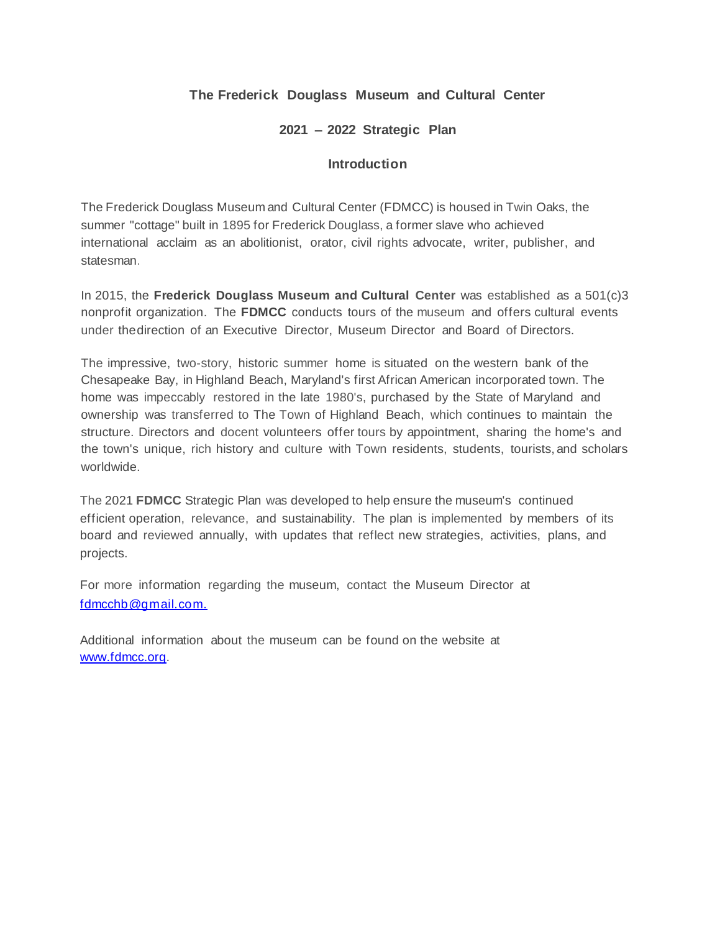## **The Frederick Douglass Museum and Cultural Center**

### **2021 – 2022 Strategic Plan**

### **Introduction**

The Frederick Douglass Museum and Cultural Center (FDMCC) is housed in Twin Oaks, the summer "cottage" built in 1895 for Frederick Douglass, a former slave who achieved international acclaim as an abolitionist, orator, civil rights advocate, writer, publisher, and statesman.

In 2015, the **Frederick Douglass Museum and Cultural Center** was established as a 501(c)3 nonprofit organization. The **FDMCC** conducts tours of the museum and offers cultural events under thedirection of an Executive Director, Museum Director and Board of Directors.

The impressive, two-story, historic summer home is situated on the western bank of the Chesapeake Bay, in Highland Beach, Maryland's first African American incorporated town. The home was impeccably restored in the late 1980's, purchased by the State of Maryland and ownership was transferred to The Town of Highland Beach, which continues to maintain the structure. Directors and docent volunteers offer tours by appointment, sharing the home's and the town's unique, rich history and culture with Town residents, students, tourists, and scholars worldwide.

The 2021 **FDMCC** Strategic Plan was developed to help ensure the museum's continued efficient operation, relevance, and sustainability. The plan is implemented by members of its board and reviewed annually, with updates that reflect new strategies, activities, plans, and projects.

For more information regarding the museum, contact the Museum Director at [fdmcchb@gmail.com.](mailto:fdmcchb@gmail.com.)

Additional information about the museum can be found on the website at [www.fdmcc.org.](www.fdmcc.org)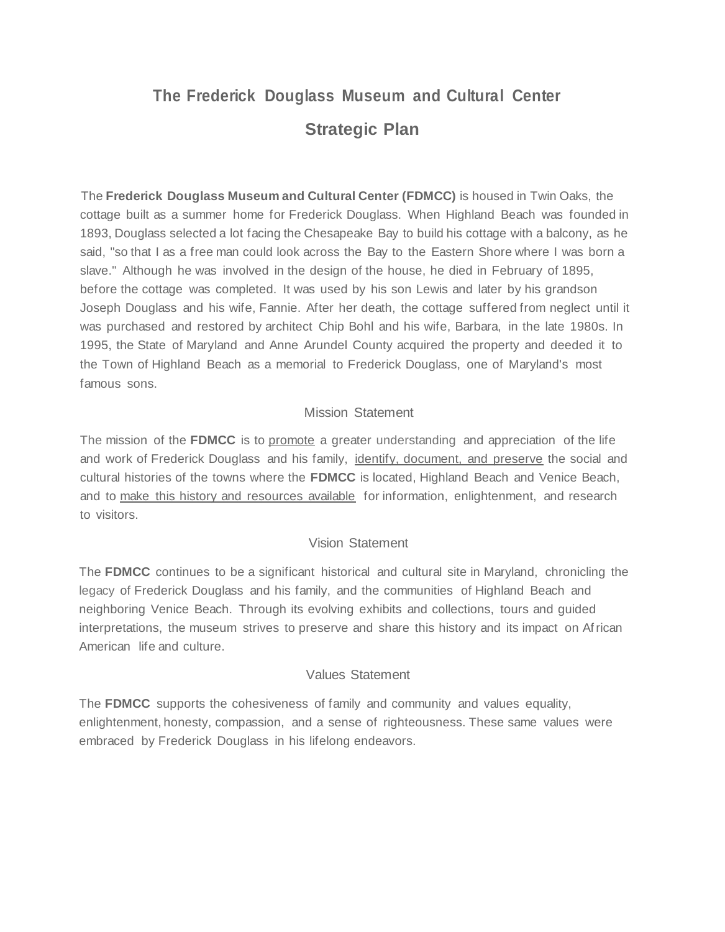# **The Frederick Douglass Museum and Cultural Center Strategic Plan**

The **Frederick Douglass Museum and Cultural Center (FDMCC)** is housed in Twin Oaks, the cottage built as a summer home for Frederick Douglass. When Highland Beach was founded in 1893, Douglass selected a lot facing the Chesapeake Bay to build his cottage with a balcony, as he said, "so that I as a free man could look across the Bay to the Eastern Shore where I was born a slave." Although he was involved in the design of the house, he died in February of 1895, before the cottage was completed. It was used by his son Lewis and later by his grandson Joseph Douglass and his wife, Fannie. After her death, the cottage suffered from neglect until it was purchased and restored by architect Chip Bohl and his wife, Barbara, in the late 1980s. In 1995, the State of Maryland and Anne Arundel County acquired the property and deeded it to the Town of Highland Beach as a memorial to Frederick Douglass, one of Maryland's most famous sons.

## Mission Statement

The mission of the **FDMCC** is to promote a greater understanding and appreciation of the life and work of Frederick Douglass and his family, identify, document, and preserve the social and cultural histories of the towns where the **FDMCC** is located, Highland Beach and Venice Beach, and to make this history and resources available for information, enlightenment, and research to visitors.

### Vision Statement

The **FDMCC** continues to be a significant historical and cultural site in Maryland, chronicling the legacy of Frederick Douglass and his family, and the communities of Highland Beach and neighboring Venice Beach. Through its evolving exhibits and collections, tours and guided interpretations, the museum strives to preserve and share this history and its impact on African American life and culture.

### Values Statement

The **FDMCC** supports the cohesiveness of family and community and values equality, enlightenment, honesty, compassion, and a sense of righteousness. These same values were embraced by Frederick Douglass in his lifelong endeavors.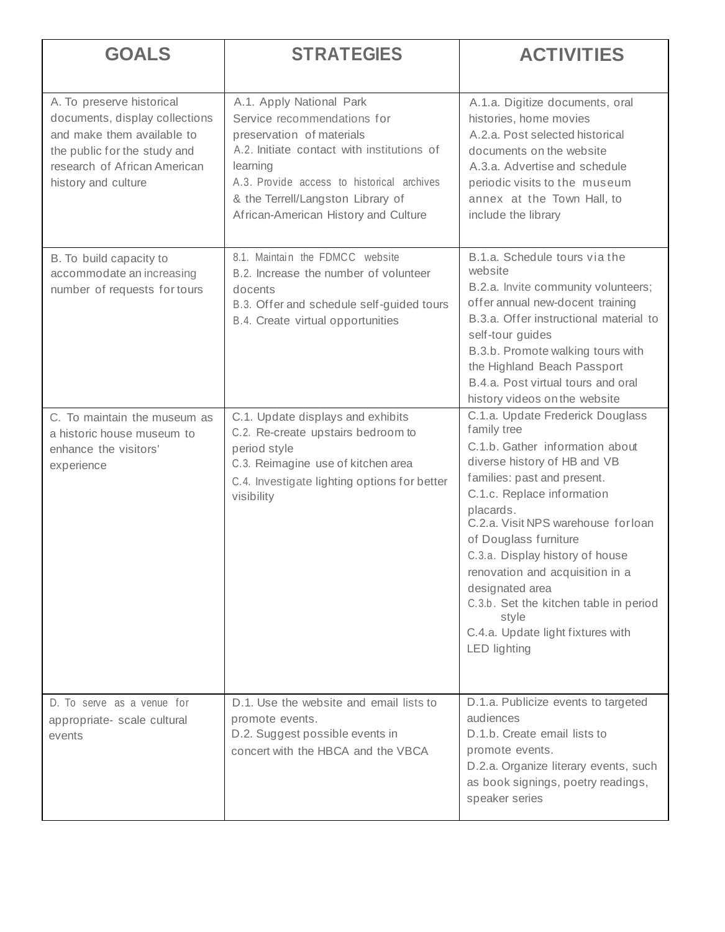| <b>GOALS</b>                                                                                                                                                                     | <b>STRATEGIES</b>                                                                                                                                                                                                                                                         | <b>ACTIVITIES</b>                                                                                                                                                                                                                                                                                                                                                                                                                                                    |
|----------------------------------------------------------------------------------------------------------------------------------------------------------------------------------|---------------------------------------------------------------------------------------------------------------------------------------------------------------------------------------------------------------------------------------------------------------------------|----------------------------------------------------------------------------------------------------------------------------------------------------------------------------------------------------------------------------------------------------------------------------------------------------------------------------------------------------------------------------------------------------------------------------------------------------------------------|
| A. To preserve historical<br>documents, display collections<br>and make them available to<br>the public for the study and<br>research of African American<br>history and culture | A.1. Apply National Park<br>Service recommendations for<br>preservation of materials<br>A.2. Initiate contact with institutions of<br>learning<br>A.3. Provide access to historical archives<br>& the Terrell/Langston Library of<br>African-American History and Culture | A.1.a. Digitize documents, oral<br>histories, home movies<br>A.2.a. Post selected historical<br>documents on the website<br>A.3.a. Advertise and schedule<br>periodic visits to the museum<br>annex at the Town Hall, to<br>include the library                                                                                                                                                                                                                      |
| B. To build capacity to<br>accommodate an increasing<br>number of requests for tours                                                                                             | 8.1. Maintain the FDMCC website<br>B.2. Increase the number of volunteer<br>docents<br>B.3. Offer and schedule self-guided tours<br>B.4. Create virtual opportunities                                                                                                     | B.1.a. Schedule tours via the<br>website<br>B.2.a. Invite community volunteers;<br>offer annual new-docent training<br>B.3.a. Offer instructional material to<br>self-tour guides<br>B.3.b. Promote walking tours with<br>the Highland Beach Passport<br>B.4.a. Post virtual tours and oral<br>history videos on the website                                                                                                                                         |
| C. To maintain the museum as<br>a historic house museum to<br>enhance the visitors'<br>experience                                                                                | C.1. Update displays and exhibits<br>C.2. Re-create upstairs bedroom to<br>period style<br>C.3. Reimagine use of kitchen area<br>C.4. Investigate lighting options for better<br>visibility                                                                               | C.1.a. Update Frederick Douglass<br>family tree<br>C.1.b. Gather information about<br>diverse history of HB and VB<br>families: past and present.<br>C.1.c. Replace information<br>placards.<br>C.2.a. Visit NPS warehouse for loan<br>of Douglass furniture<br>C.3.a. Display history of house<br>renovation and acquisition in a<br>designated area<br>C.3.b. Set the kitchen table in period<br>style<br>C.4.a. Update light fixtures with<br><b>LED</b> lighting |
| D. To serve as a venue for<br>appropriate- scale cultural<br>events                                                                                                              | D.1. Use the website and email lists to<br>promote events.<br>D.2. Suggest possible events in<br>concert with the HBCA and the VBCA                                                                                                                                       | D.1.a. Publicize events to targeted<br>audiences<br>D.1.b. Create email lists to<br>promote events.<br>D.2.a. Organize literary events, such<br>as book signings, poetry readings,<br>speaker series                                                                                                                                                                                                                                                                 |